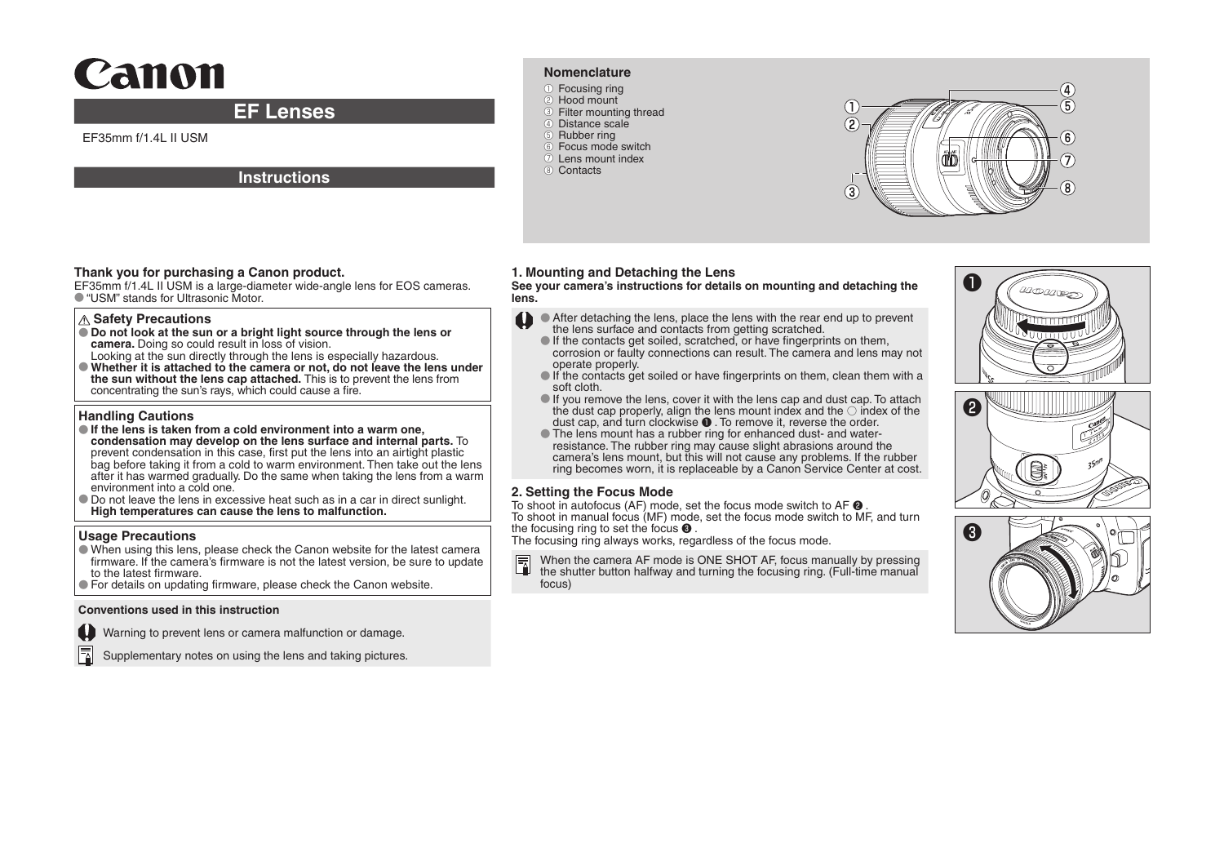# Canon

## **EF Lenses**

EF35mm f/1.4L II USM

#### **Instructions**

#### **Nomenclature**

- ●① Focusing ring
- 2 Hood mount **3** Filter mounting thread
- 4) Distance scale
- ●⑤ Rubber ring
- ●⑥ Focus mode switch
- ●⑦ Lens mount index 8 Contacts



#### **Thank you for purchasing a Canon product.**

EF35mm f/1.4L II USM is a large-diameter wide-angle lens for EOS cameras. ● "USM" stands for Ultrasonic Motor

#### **Safety Precautions**

- **Do not look at the sun or a bright light source through the lens or camera.** Doing so could result in loss of vision.
- Looking at the sun directly through the lens is especially hazardous. ● **Whether it is attached to the camera or not, do not leave the lens under the sun without the lens cap attached.** This is to prevent the lens from concentrating the sun's rays, which could cause a fire.

#### **Handling Cautions**

- **If the lens is taken from a cold environment into a warm one, condensation may develop on the lens surface and internal parts.** To prevent condensation in this case, first put the lens into an airtight plastic bag before taking it from a cold to warm environment. Then take out the lens after it has warmed gradually. Do the same when taking the lens from a warm environment into a cold one.
- Do not leave the lens in excessive heat such as in a car in direct sunlight. **High temperatures can cause the lens to malfunction.**

#### **Usage Precautions**

- When using this lens, please check the Canon website for the latest camera firmware. If the camera's firmware is not the latest version, be sure to update to the latest firmware.
- For details on updating firmware, please check the Canon website.

#### **Conventions used in this instruction**

Warning to prevent lens or camera malfunction or damage.

Supplementary notes on using the lens and taking pictures.

## **1. Mounting and Detaching the Lens**

**See your camera's instructions for details on mounting and detaching the lens.**

- After detaching the lens, place the lens with the rear end up to prevent the lens surface and contacts from getting scratched.
- $\bullet$  If the contacts get soiled, scratched, or have fingerprints on them, corrosion or faulty connections can result. The camera and lens may not operate properly.
- $\bullet$  If the contacts get soiled or have fingerprints on them, clean them with a soft cloth.
- $\bullet$  If you remove the lens, cover it with the lens cap and dust cap. To attach the dust cap properly, align the lens mount index and the  $\odot$  index of the dust cap, and turn clockwise  $\bullet$  . To remove it, reverse the order.
- The lens mount has a rubber ring for enhanced dust- and waterresistance. The rubber ring may cause slight abrasions around the camera's lens mount, but this will not cause any problems. If the rubber ring becomes worn, it is replaceable by a Canon Service Center at cost.

#### **2. Setting the Focus Mode**

To shoot in autofocus (AF) mode, set the focus mode switch to AF  $\Theta$ . To shoot in manual focus (MF) mode, set the focus mode switch to MF, and turn the focusing ring to set the focus ❸ .

The focusing ring always works, regardless of the focus mode.

When the camera AF mode is ONE SHOT AF, focus manually by pressing the shutter button halfway and turning the focusing ring. (Full-time manual focus)